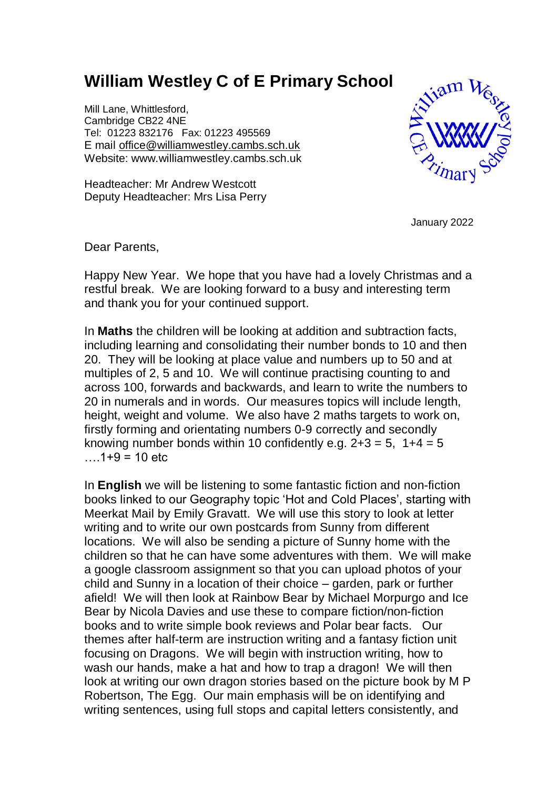## **William Westley C of E Primary School**

Mill Lane, Whittlesford, Cambridge CB22 4NE Tel: 01223 832176 Fax: 01223 495569 E mail [office@williamwestley.cambs.sch.uk](mailto:office@williamwestley.cambs.sch.uk) Website: www.williamwestley.cambs.sch.uk

Headteacher: Mr Andrew Westcott Deputy Headteacher: Mrs Lisa Perry



January 2022

Dear Parents,

Happy New Year. We hope that you have had a lovely Christmas and a restful break. We are looking forward to a busy and interesting term and thank you for your continued support.

In **Maths** the children will be looking at addition and subtraction facts, including learning and consolidating their number bonds to 10 and then 20. They will be looking at place value and numbers up to 50 and at multiples of 2, 5 and 10. We will continue practising counting to and across 100, forwards and backwards, and learn to write the numbers to 20 in numerals and in words. Our measures topics will include length, height, weight and volume. We also have 2 maths targets to work on, firstly forming and orientating numbers 0-9 correctly and secondly knowing number bonds within 10 confidently e.g.  $2+3 = 5$ ,  $1+4 = 5$  $1+9 = 10$  etc.

In **English** we will be listening to some fantastic fiction and non-fiction books linked to our Geography topic 'Hot and Cold Places', starting with Meerkat Mail by Emily Gravatt. We will use this story to look at letter writing and to write our own postcards from Sunny from different locations. We will also be sending a picture of Sunny home with the children so that he can have some adventures with them. We will make a google classroom assignment so that you can upload photos of your child and Sunny in a location of their choice – garden, park or further afield! We will then look at Rainbow Bear by Michael Morpurgo and Ice Bear by Nicola Davies and use these to compare fiction/non-fiction books and to write simple book reviews and Polar bear facts. Our themes after half-term are instruction writing and a fantasy fiction unit focusing on Dragons. We will begin with instruction writing, how to wash our hands, make a hat and how to trap a dragon! We will then look at writing our own dragon stories based on the picture book by M P Robertson, The Egg. Our main emphasis will be on identifying and writing sentences, using full stops and capital letters consistently, and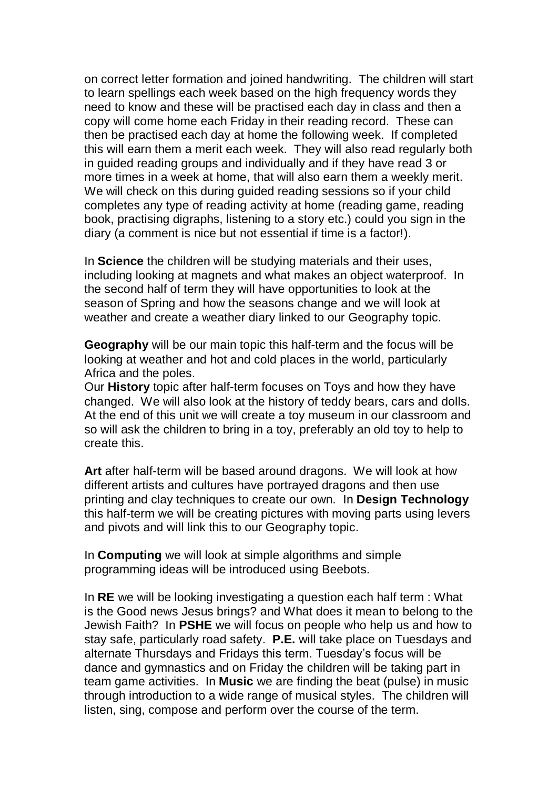on correct letter formation and joined handwriting. The children will start to learn spellings each week based on the high frequency words they need to know and these will be practised each day in class and then a copy will come home each Friday in their reading record. These can then be practised each day at home the following week. If completed this will earn them a merit each week. They will also read regularly both in guided reading groups and individually and if they have read 3 or more times in a week at home, that will also earn them a weekly merit. We will check on this during guided reading sessions so if your child completes any type of reading activity at home (reading game, reading book, practising digraphs, listening to a story etc.) could you sign in the diary (a comment is nice but not essential if time is a factor!).

In **Science** the children will be studying materials and their uses, including looking at magnets and what makes an object waterproof. In the second half of term they will have opportunities to look at the season of Spring and how the seasons change and we will look at weather and create a weather diary linked to our Geography topic.

**Geography** will be our main topic this half-term and the focus will be looking at weather and hot and cold places in the world, particularly Africa and the poles.

Our **History** topic after half-term focuses on Toys and how they have changed. We will also look at the history of teddy bears, cars and dolls. At the end of this unit we will create a toy museum in our classroom and so will ask the children to bring in a toy, preferably an old toy to help to create this.

**Art** after half-term will be based around dragons. We will look at how different artists and cultures have portrayed dragons and then use printing and clay techniques to create our own. In **Design Technology** this half-term we will be creating pictures with moving parts using levers and pivots and will link this to our Geography topic.

In **Computing** we will look at simple algorithms and simple programming ideas will be introduced using Beebots.

In **RE** we will be looking investigating a question each half term : What is the Good news Jesus brings? and What does it mean to belong to the Jewish Faith? In **PSHE** we will focus on people who help us and how to stay safe, particularly road safety. **P.E.** will take place on Tuesdays and alternate Thursdays and Fridays this term. Tuesday's focus will be dance and gymnastics and on Friday the children will be taking part in team game activities. In **Music** we are finding the beat (pulse) in music through introduction to a wide range of musical styles. The children will listen, sing, compose and perform over the course of the term.